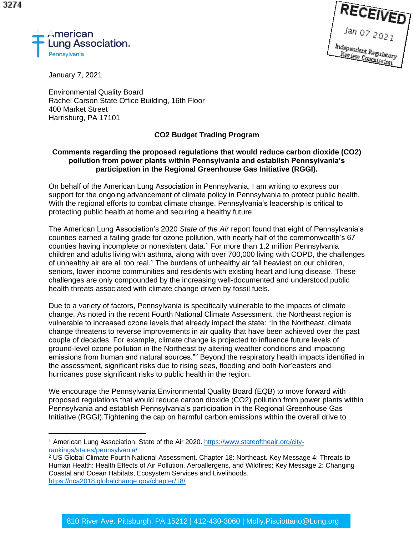



January 7, 2021

Environmental Quality Board Rachel Carson State Office Building, 16th Floor 400 Market Street Harrisburg, PA 17101

## **CO2 Budget Trading Program**

## **Comments regarding the proposed regulations that would reduce carbon dioxide (CO2) pollution from power plants within Pennsylvania and establish Pennsylvania's participation in the Regional Greenhouse Gas Initiative (RGGI).**

On behalf of the American Lung Association in Pennsylvania, I am writing to express our support for the ongoing advancement of climate policy in Pennsylvania to protect public health. With the regional efforts to combat climate change, Pennsylvania's leadership is critical to protecting public health at home and securing a healthy future.

The American Lung Association's 2020 *State of the Air* report found that eight of Pennsylvania's counties earned a failing grade for ozone pollution, with nearly half of the commonwealth's 67 counties having incomplete or nonexistent data.<sup>1</sup> For more than 1.2 million Pennsylvania children and adults living with asthma, along with over 700,000 living with COPD, the challenges of unhealthy air are all too real.<sup>1</sup> The burdens of unhealthy air fall heaviest on our children, seniors, lower income communities and residents with existing heart and lung disease. These challenges are only compounded by the increasing well-documented and understood public health threats associated with climate change driven by fossil fuels.

Due to a variety of factors, Pennsylvania is specifically vulnerable to the impacts of climate change. As noted in the recent Fourth National Climate Assessment, the Northeast region is vulnerable to increased ozone levels that already impact the state: "In the Northeast, climate change threatens to reverse improvements in air quality that have been achieved over the past couple of decades. For example, climate change is projected to influence future levels of ground-level ozone pollution in the Northeast by altering weather conditions and impacting emissions from human and natural sources."<sup>2</sup> Beyond the respiratory health impacts identified in the assessment, significant risks due to rising seas, flooding and both Nor'easters and hurricanes pose significant risks to public health in the region.

We encourage the Pennsylvania Environmental Quality Board (EQB) to move forward with proposed regulations that would reduce carbon dioxide (CO2) pollution from power plants within Pennsylvania and establish Pennsylvania's participation in the Regional Greenhouse Gas Initiative (RGGI).Tightening the cap on harmful carbon emissions within the overall drive to

<sup>1</sup> American Lung Association. State of the Air 2020. https://www.stateoftheair.org/cityrankings/states/pennsylvania/

<sup>&</sup>lt;sup>2</sup> US Global Climate Fourth National Assessment. Chapter 18: Northeast. Key Message 4: Threats to Human Health: Health Effects of Air Pollution, Aeroallergens, and Wildfires; Key Message 2: Changing Coastal and Ocean Habitats, Ecosystem Services and Livelihoods. https://nca2018.globalchange.gov/chapter/18/